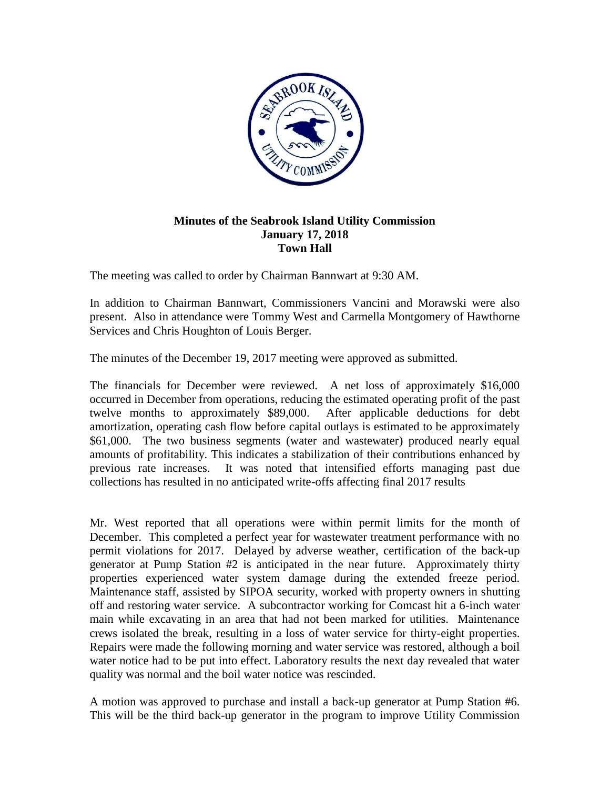

## **Minutes of the Seabrook Island Utility Commission January 17, 2018 Town Hall**

The meeting was called to order by Chairman Bannwart at 9:30 AM.

In addition to Chairman Bannwart, Commissioners Vancini and Morawski were also present. Also in attendance were Tommy West and Carmella Montgomery of Hawthorne Services and Chris Houghton of Louis Berger.

The minutes of the December 19, 2017 meeting were approved as submitted.

The financials for December were reviewed. A net loss of approximately \$16,000 occurred in December from operations, reducing the estimated operating profit of the past twelve months to approximately \$89,000. After applicable deductions for debt amortization, operating cash flow before capital outlays is estimated to be approximately \$61,000. The two business segments (water and wastewater) produced nearly equal amounts of profitability. This indicates a stabilization of their contributions enhanced by previous rate increases. It was noted that intensified efforts managing past due collections has resulted in no anticipated write-offs affecting final 2017 results

Mr. West reported that all operations were within permit limits for the month of December. This completed a perfect year for wastewater treatment performance with no permit violations for 2017. Delayed by adverse weather, certification of the back-up generator at Pump Station #2 is anticipated in the near future. Approximately thirty properties experienced water system damage during the extended freeze period. Maintenance staff, assisted by SIPOA security, worked with property owners in shutting off and restoring water service. A subcontractor working for Comcast hit a 6-inch water main while excavating in an area that had not been marked for utilities. Maintenance crews isolated the break, resulting in a loss of water service for thirty-eight properties. Repairs were made the following morning and water service was restored, although a boil water notice had to be put into effect. Laboratory results the next day revealed that water quality was normal and the boil water notice was rescinded.

A motion was approved to purchase and install a back-up generator at Pump Station #6. This will be the third back-up generator in the program to improve Utility Commission